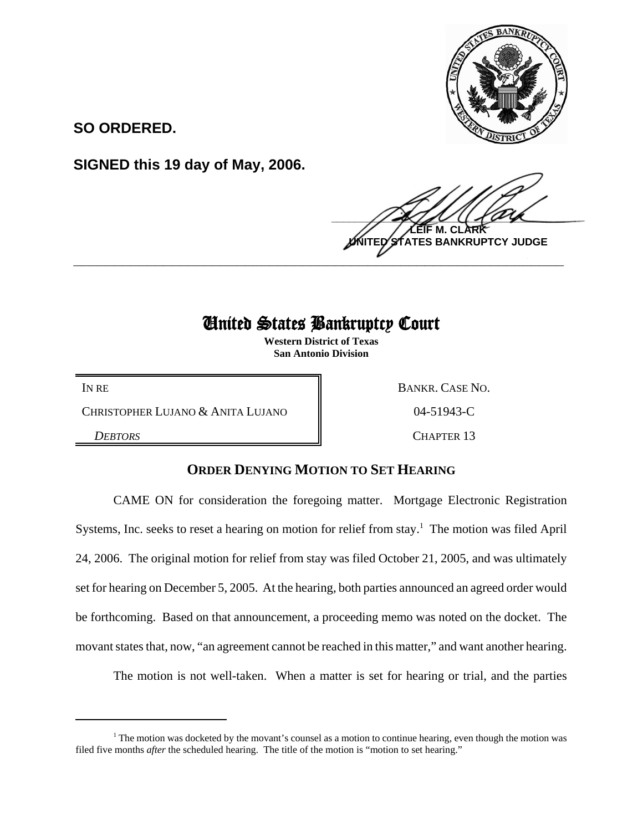

**SO ORDERED.**

**SIGNED this 19 day of May, 2006.**

 $\frac{1}{2}$ **M. ES BANKRUPTCY JUDGE \_\_\_\_\_\_\_\_\_\_\_\_\_\_\_\_\_\_\_\_\_\_\_\_\_\_\_\_\_\_\_\_\_\_\_\_\_\_\_\_\_\_\_\_\_\_\_\_\_\_\_\_\_\_\_\_\_\_\_\_**

## United States Bankruptcy Court

**Western District of Texas San Antonio Division**

CHRISTOPHER LUJANO & ANITA LUJANO  $\parallel$  04-51943-C

IN RE BANKR. CASE NO.

**DEBTORS** CHAPTER 13

## **ORDER DENYING MOTION TO SET HEARING**

CAME ON for consideration the foregoing matter. Mortgage Electronic Registration Systems, Inc. seeks to reset a hearing on motion for relief from stay.<sup>1</sup> The motion was filed April 24, 2006. The original motion for relief from stay was filed October 21, 2005, and was ultimately set for hearing on December 5, 2005. At the hearing, both parties announced an agreed order would be forthcoming. Based on that announcement, a proceeding memo was noted on the docket. The movant states that, now, "an agreement cannot be reached in this matter," and want another hearing.

The motion is not well-taken. When a matter is set for hearing or trial, and the parties

<sup>&</sup>lt;sup>1</sup> The motion was docketed by the movant's counsel as a motion to continue hearing, even though the motion was filed five months *after* the scheduled hearing. The title of the motion is "motion to set hearing."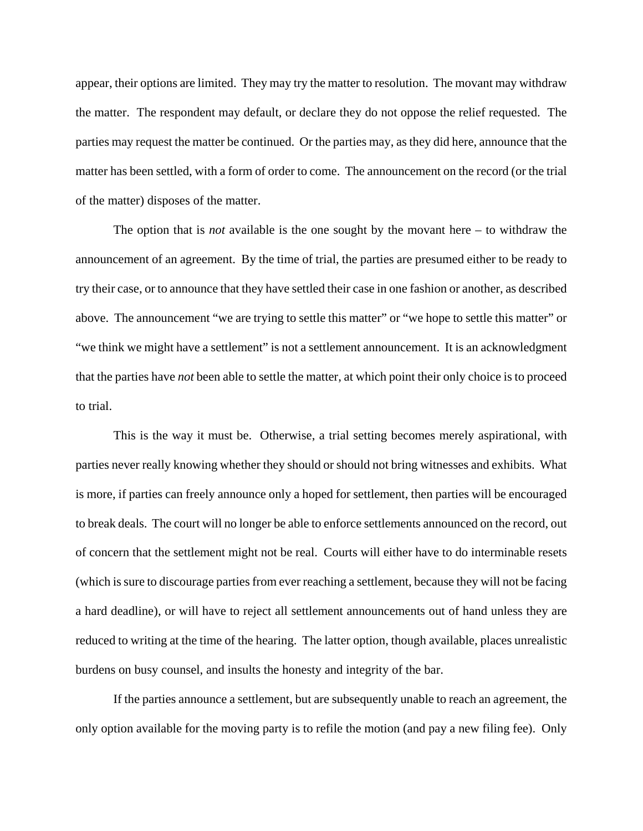appear, their options are limited. They may try the matter to resolution. The movant may withdraw the matter. The respondent may default, or declare they do not oppose the relief requested. The parties may request the matter be continued. Or the parties may, as they did here, announce that the matter has been settled, with a form of order to come. The announcement on the record (or the trial of the matter) disposes of the matter.

The option that is *not* available is the one sought by the movant here – to withdraw the announcement of an agreement. By the time of trial, the parties are presumed either to be ready to try their case, or to announce that they have settled their case in one fashion or another, as described above. The announcement "we are trying to settle this matter" or "we hope to settle this matter" or "we think we might have a settlement" is not a settlement announcement. It is an acknowledgment that the parties have *not* been able to settle the matter, at which point their only choice is to proceed to trial.

This is the way it must be. Otherwise, a trial setting becomes merely aspirational, with parties never really knowing whether they should or should not bring witnesses and exhibits. What is more, if parties can freely announce only a hoped for settlement, then parties will be encouraged to break deals. The court will no longer be able to enforce settlements announced on the record, out of concern that the settlement might not be real. Courts will either have to do interminable resets (which is sure to discourage parties from ever reaching a settlement, because they will not be facing a hard deadline), or will have to reject all settlement announcements out of hand unless they are reduced to writing at the time of the hearing. The latter option, though available, places unrealistic burdens on busy counsel, and insults the honesty and integrity of the bar.

If the parties announce a settlement, but are subsequently unable to reach an agreement, the only option available for the moving party is to refile the motion (and pay a new filing fee). Only